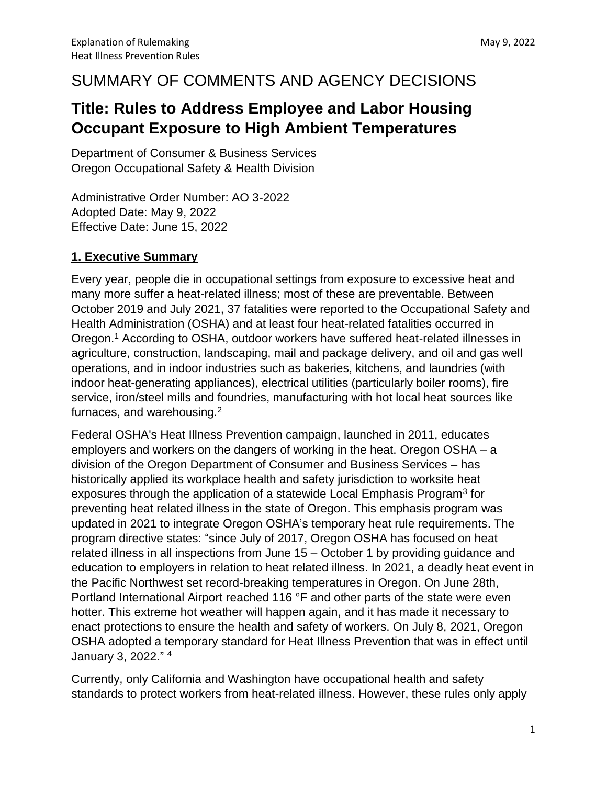# SUMMARY OF COMMENTS AND AGENCY DECISIONS

# **Title: Rules to Address Employee and Labor Housing Occupant Exposure to High Ambient Temperatures**

Department of Consumer & Business Services Oregon Occupational Safety & Health Division

Administrative Order Number: AO 3-2022 Adopted Date: May 9, 2022 Effective Date: June 15, 2022

## **1. Executive Summary**

Every year, people die in occupational settings from exposure to excessive heat and many more suffer a heat-related illness; most of these are preventable. Between October 2019 and July 2021, 37 fatalities were reported to the Occupational Safety and Health Administration (OSHA) and at least four heat-related fatalities occurred in Oregon.<sup>1</sup> According to OSHA, outdoor workers have suffered heat-related illnesses in agriculture, construction, landscaping, mail and package delivery, and oil and gas well operations, and in indoor industries such as bakeries, kitchens, and laundries (with indoor heat-generating appliances), electrical utilities (particularly boiler rooms), fire service, iron/steel mills and foundries, manufacturing with hot local heat sources like furnaces, and warehousing.<sup>2</sup>

Federal OSHA's Heat Illness Prevention campaign, launched in 2011, educates employers and workers on the dangers of working in the heat. Oregon OSHA – a division of the Oregon Department of Consumer and Business Services – has historically applied its workplace health and safety jurisdiction to worksite heat exposures through the application of a statewide Local Emphasis Program<sup>3</sup> for preventing heat related illness in the state of Oregon. This emphasis program was updated in 2021 to integrate Oregon OSHA's temporary heat rule requirements. The program directive states: "since July of 2017, Oregon OSHA has focused on heat related illness in all inspections from June 15 – October 1 by providing guidance and education to employers in relation to heat related illness. In 2021, a deadly heat event in the Pacific Northwest set record-breaking temperatures in Oregon. On June 28th, Portland International Airport reached 116 °F and other parts of the state were even hotter. This extreme hot weather will happen again, and it has made it necessary to enact protections to ensure the health and safety of workers. On July 8, 2021, Oregon OSHA adopted a temporary standard for Heat Illness Prevention that was in effect until January 3, 2022." 4

Currently, only California and Washington have occupational health and safety standards to protect workers from heat-related illness. However, these rules only apply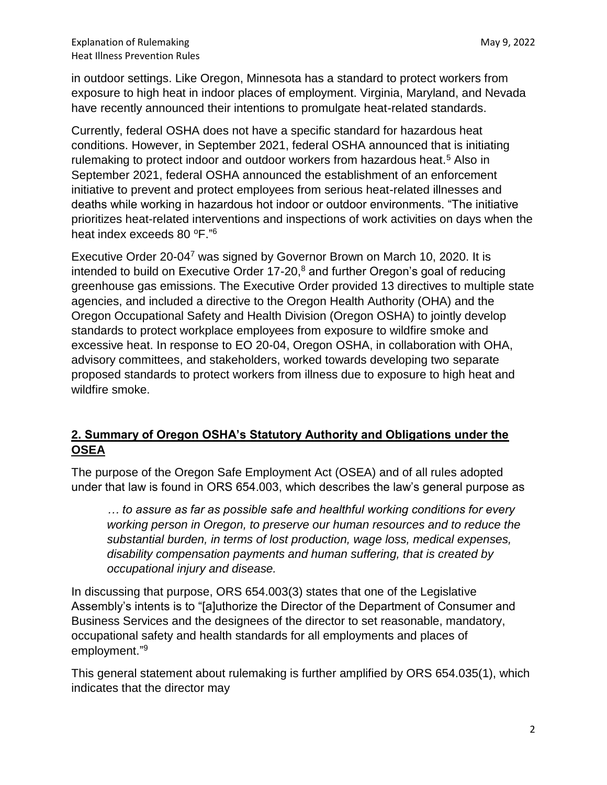in outdoor settings. Like Oregon, Minnesota has a standard to protect workers from exposure to high heat in indoor places of employment. Virginia, Maryland, and Nevada have recently announced their intentions to promulgate heat-related standards.

Currently, federal OSHA does not have a specific standard for hazardous heat conditions. However, in September 2021, federal OSHA announced that is initiating rulemaking to protect indoor and outdoor workers from hazardous heat.<sup>5</sup> Also in September 2021, federal OSHA announced the establishment of an enforcement initiative to prevent and protect employees from serious heat-related illnesses and deaths while working in hazardous hot indoor or outdoor environments. "The initiative prioritizes heat-related interventions and inspections of work activities on days when the heat index exceeds 80  $\mathrm{^oF.^{''6}}$ 

Executive Order 20-04<sup>7</sup> was signed by Governor Brown on March 10, 2020. It is intended to build on Executive Order 17-20,<sup>8</sup> and further Oregon's goal of reducing greenhouse gas emissions. The Executive Order provided 13 directives to multiple state agencies, and included a directive to the Oregon Health Authority (OHA) and the Oregon Occupational Safety and Health Division (Oregon OSHA) to jointly develop standards to protect workplace employees from exposure to wildfire smoke and excessive heat. In response to EO 20-04, Oregon OSHA, in collaboration with OHA, advisory committees, and stakeholders, worked towards developing two separate proposed standards to protect workers from illness due to exposure to high heat and wildfire smoke.

## **2. Summary of Oregon OSHA's Statutory Authority and Obligations under the OSEA**

The purpose of the Oregon Safe Employment Act (OSEA) and of all rules adopted under that law is found in ORS 654.003, which describes the law's general purpose as

*… to assure as far as possible safe and healthful working conditions for every working person in Oregon, to preserve our human resources and to reduce the substantial burden, in terms of lost production, wage loss, medical expenses, disability compensation payments and human suffering, that is created by occupational injury and disease.* 

In discussing that purpose, ORS 654.003(3) states that one of the Legislative Assembly's intents is to "[a]uthorize the Director of the Department of Consumer and Business Services and the designees of the director to set reasonable, mandatory, occupational safety and health standards for all employments and places of employment." 9

This general statement about rulemaking is further amplified by ORS 654.035(1), which indicates that the director may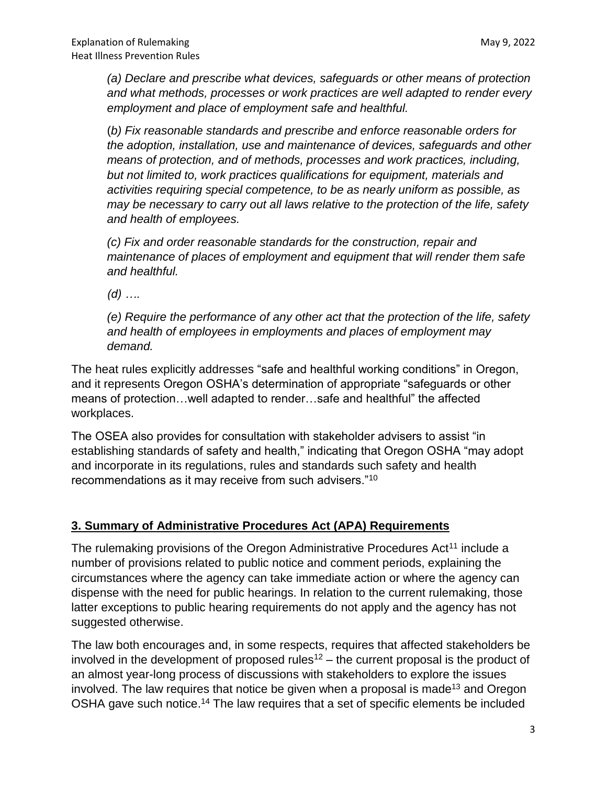*(a) Declare and prescribe what devices, safeguards or other means of protection and what methods, processes or work practices are well adapted to render every employment and place of employment safe and healthful.* 

(*b) Fix reasonable standards and prescribe and enforce reasonable orders for the adoption, installation, use and maintenance of devices, safeguards and other means of protection, and of methods, processes and work practices, including, but not limited to, work practices qualifications for equipment, materials and activities requiring special competence, to be as nearly uniform as possible, as may be necessary to carry out all laws relative to the protection of the life, safety and health of employees.*

*(c) Fix and order reasonable standards for the construction, repair and maintenance of places of employment and equipment that will render them safe and healthful.*

*(d) ….*

*(e) Require the performance of any other act that the protection of the life, safety and health of employees in employments and places of employment may demand.*

The heat rules explicitly addresses "safe and healthful working conditions" in Oregon, and it represents Oregon OSHA's determination of appropriate "safeguards or other means of protection…well adapted to render…safe and healthful" the affected workplaces.

The OSEA also provides for consultation with stakeholder advisers to assist "in establishing standards of safety and health," indicating that Oregon OSHA "may adopt and incorporate in its regulations, rules and standards such safety and health recommendations as it may receive from such advisers."<sup>10</sup>

#### **3. Summary of Administrative Procedures Act (APA) Requirements**

The rulemaking provisions of the Oregon Administrative Procedures Act<sup>11</sup> include a number of provisions related to public notice and comment periods, explaining the circumstances where the agency can take immediate action or where the agency can dispense with the need for public hearings. In relation to the current rulemaking, those latter exceptions to public hearing requirements do not apply and the agency has not suggested otherwise.

The law both encourages and, in some respects, requires that affected stakeholders be involved in the development of proposed rules<sup>12</sup> – the current proposal is the product of an almost year-long process of discussions with stakeholders to explore the issues involved. The law requires that notice be given when a proposal is made<sup>13</sup> and Oregon OSHA gave such notice.<sup>14</sup> The law requires that a set of specific elements be included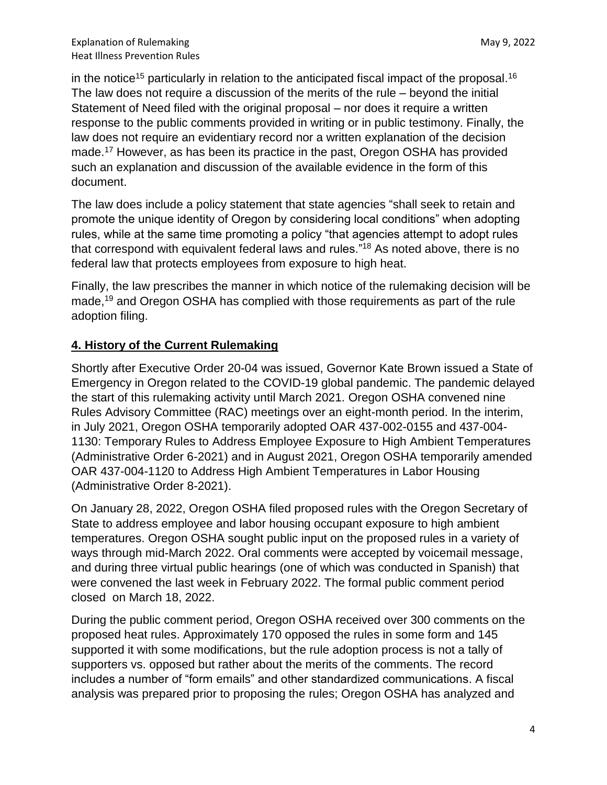in the notice<sup>15</sup> particularly in relation to the anticipated fiscal impact of the proposal.<sup>16</sup> The law does not require a discussion of the merits of the rule – beyond the initial Statement of Need filed with the original proposal – nor does it require a written response to the public comments provided in writing or in public testimony. Finally, the law does not require an evidentiary record nor a written explanation of the decision made.<sup>17</sup> However, as has been its practice in the past, Oregon OSHA has provided such an explanation and discussion of the available evidence in the form of this document.

The law does include a policy statement that state agencies "shall seek to retain and promote the unique identity of Oregon by considering local conditions" when adopting rules, while at the same time promoting a policy "that agencies attempt to adopt rules that correspond with equivalent federal laws and rules."<sup>18</sup> As noted above, there is no federal law that protects employees from exposure to high heat.

Finally, the law prescribes the manner in which notice of the rulemaking decision will be made,<sup>19</sup> and Oregon OSHA has complied with those requirements as part of the rule adoption filing.

## **4. History of the Current Rulemaking**

Shortly after Executive Order 20-04 was issued, Governor Kate Brown issued a State of Emergency in Oregon related to the COVID-19 global pandemic. The pandemic delayed the start of this rulemaking activity until March 2021. Oregon OSHA convened nine Rules Advisory Committee (RAC) meetings over an eight-month period. In the interim, in July 2021, Oregon OSHA temporarily adopted OAR 437-002-0155 and 437-004- 1130: Temporary Rules to Address Employee Exposure to High Ambient Temperatures (Administrative Order 6-2021) and in August 2021, Oregon OSHA temporarily amended OAR 437-004-1120 to Address High Ambient Temperatures in Labor Housing (Administrative Order 8-2021).

On January 28, 2022, Oregon OSHA filed proposed rules with the Oregon Secretary of State to address employee and labor housing occupant exposure to high ambient temperatures. Oregon OSHA sought public input on the proposed rules in a variety of ways through mid-March 2022. Oral comments were accepted by voicemail message, and during three virtual public hearings (one of which was conducted in Spanish) that were convened the last week in February 2022. The formal public comment period closed on March 18, 2022.

During the public comment period, Oregon OSHA received over 300 comments on the proposed heat rules. Approximately 170 opposed the rules in some form and 145 supported it with some modifications, but the rule adoption process is not a tally of supporters vs. opposed but rather about the merits of the comments. The record includes a number of "form emails" and other standardized communications. A fiscal analysis was prepared prior to proposing the rules; Oregon OSHA has analyzed and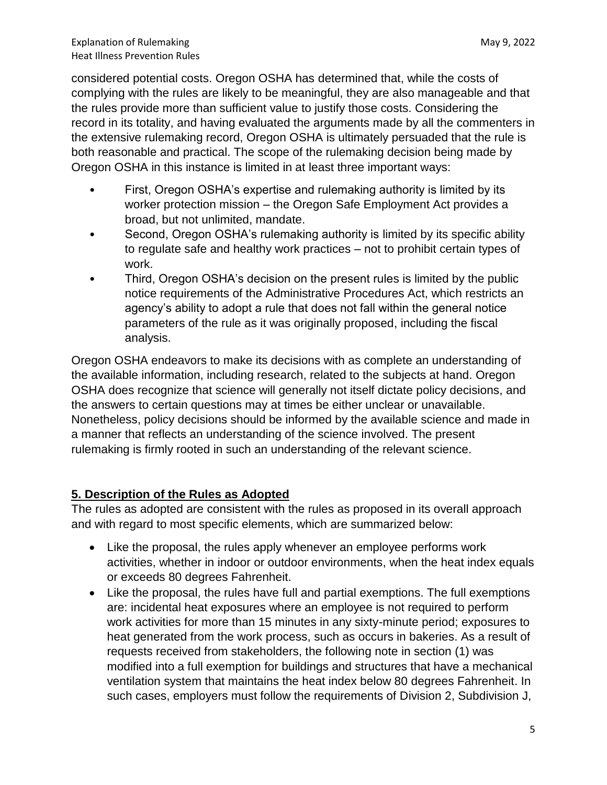considered potential costs. Oregon OSHA has determined that, while the costs of complying with the rules are likely to be meaningful, they are also manageable and that the rules provide more than sufficient value to justify those costs. Considering the record in its totality, and having evaluated the arguments made by all the commenters in the extensive rulemaking record, Oregon OSHA is ultimately persuaded that the rule is both reasonable and practical. The scope of the rulemaking decision being made by Oregon OSHA in this instance is limited in at least three important ways:

- First, Oregon OSHA's expertise and rulemaking authority is limited by its worker protection mission – the Oregon Safe Employment Act provides a broad, but not unlimited, mandate.
- Second, Oregon OSHA's rulemaking authority is limited by its specific ability to regulate safe and healthy work practices – not to prohibit certain types of work.
- Third, Oregon OSHA's decision on the present rules is limited by the public notice requirements of the Administrative Procedures Act, which restricts an agency's ability to adopt a rule that does not fall within the general notice parameters of the rule as it was originally proposed, including the fiscal analysis.

Oregon OSHA endeavors to make its decisions with as complete an understanding of the available information, including research, related to the subjects at hand. Oregon OSHA does recognize that science will generally not itself dictate policy decisions, and the answers to certain questions may at times be either unclear or unavailable. Nonetheless, policy decisions should be informed by the available science and made in a manner that reflects an understanding of the science involved. The present rulemaking is firmly rooted in such an understanding of the relevant science.

## **5. Description of the Rules as Adopted**

The rules as adopted are consistent with the rules as proposed in its overall approach and with regard to most specific elements, which are summarized below:

- Like the proposal, the rules apply whenever an employee performs work activities, whether in indoor or outdoor environments, when the heat index equals or exceeds 80 degrees Fahrenheit.
- Like the proposal, the rules have full and partial exemptions. The full exemptions are: incidental heat exposures where an employee is not required to perform work activities for more than 15 minutes in any sixty-minute period; exposures to heat generated from the work process, such as occurs in bakeries. As a result of requests received from stakeholders, the following note in section (1) was modified into a full exemption for buildings and structures that have a mechanical ventilation system that maintains the heat index below 80 degrees Fahrenheit. In such cases, employers must follow the requirements of Division 2, Subdivision J,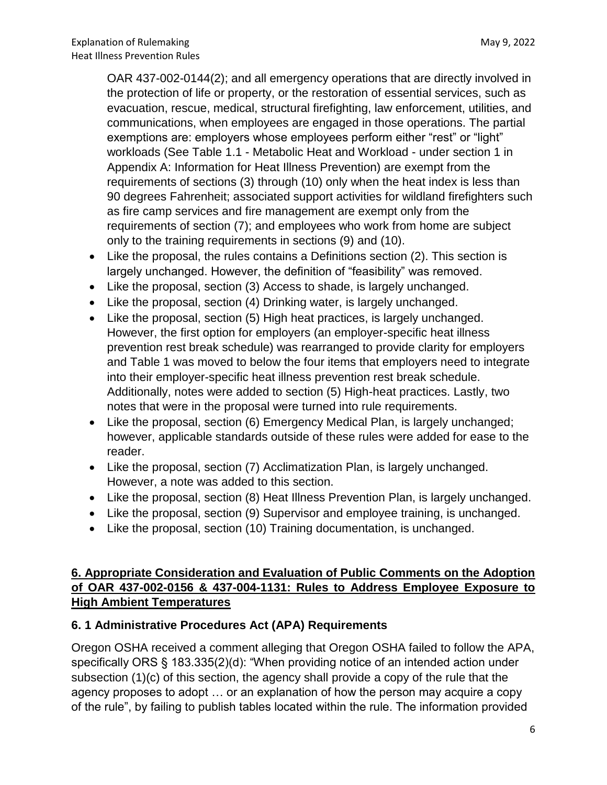OAR 437-002-0144(2); and all emergency operations that are directly involved in the protection of life or property, or the restoration of essential services, such as evacuation, rescue, medical, structural firefighting, law enforcement, utilities, and communications, when employees are engaged in those operations. The partial exemptions are: employers whose employees perform either "rest" or "light" workloads (See Table 1.1 - Metabolic Heat and Workload - under section 1 in Appendix A: Information for Heat Illness Prevention) are exempt from the requirements of sections (3) through (10) only when the heat index is less than 90 degrees Fahrenheit; associated support activities for wildland firefighters such as fire camp services and fire management are exempt only from the requirements of section (7); and employees who work from home are subject only to the training requirements in sections (9) and (10).

- Like the proposal, the rules contains a Definitions section (2). This section is largely unchanged. However, the definition of "feasibility" was removed.
- Like the proposal, section (3) Access to shade, is largely unchanged.
- Like the proposal, section (4) Drinking water, is largely unchanged.
- Like the proposal, section (5) High heat practices, is largely unchanged. However, the first option for employers (an employer-specific heat illness prevention rest break schedule) was rearranged to provide clarity for employers and Table 1 was moved to below the four items that employers need to integrate into their employer-specific heat illness prevention rest break schedule. Additionally, notes were added to section (5) High-heat practices. Lastly, two notes that were in the proposal were turned into rule requirements.
- Like the proposal, section (6) Emergency Medical Plan, is largely unchanged; however, applicable standards outside of these rules were added for ease to the reader.
- Like the proposal, section (7) Acclimatization Plan, is largely unchanged. However, a note was added to this section.
- Like the proposal, section (8) Heat Illness Prevention Plan, is largely unchanged.
- Like the proposal, section (9) Supervisor and employee training, is unchanged.
- Like the proposal, section (10) Training documentation, is unchanged.

## **6. Appropriate Consideration and Evaluation of Public Comments on the Adoption of OAR 437-002-0156 & 437-004-1131: Rules to Address Employee Exposure to High Ambient Temperatures**

#### **6. 1 Administrative Procedures Act (APA) Requirements**

Oregon OSHA received a comment alleging that Oregon OSHA failed to follow the APA, specifically ORS § 183.335(2)(d): "When providing notice of an intended action under subsection (1)(c) of this section, the agency shall provide a copy of the rule that the agency proposes to adopt … or an explanation of how the person may acquire a copy of the rule", by failing to publish tables located within the rule. The information provided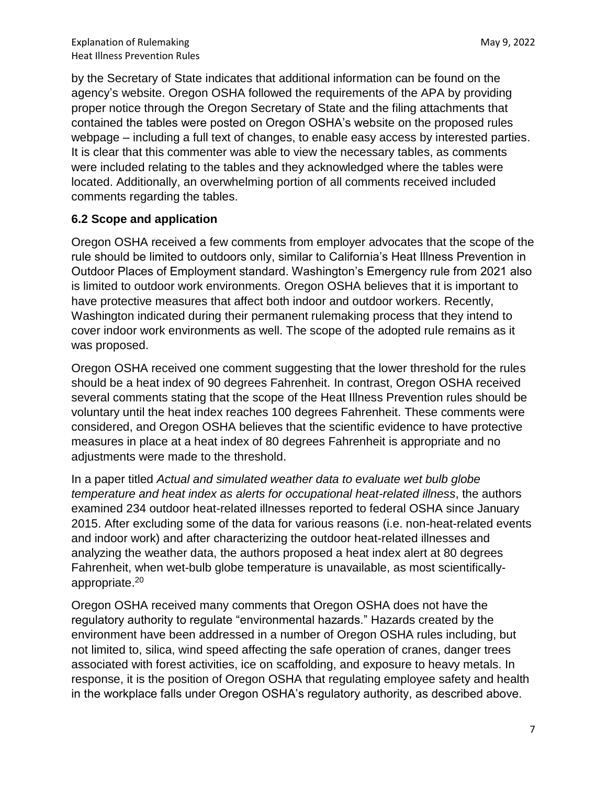by the Secretary of State indicates that additional information can be found on the agency's website. Oregon OSHA followed the requirements of the APA by providing proper notice through the Oregon Secretary of State and the filing attachments that contained the tables were posted on Oregon OSHA's website on the proposed rules webpage – including a full text of changes, to enable easy access by interested parties. It is clear that this commenter was able to view the necessary tables, as comments were included relating to the tables and they acknowledged where the tables were located. Additionally, an overwhelming portion of all comments received included comments regarding the tables.

#### **6.2 Scope and application**

Oregon OSHA received a few comments from employer advocates that the scope of the rule should be limited to outdoors only, similar to California's Heat Illness Prevention in Outdoor Places of Employment standard. Washington's Emergency rule from 2021 also is limited to outdoor work environments. Oregon OSHA believes that it is important to have protective measures that affect both indoor and outdoor workers. Recently, Washington indicated during their permanent rulemaking process that they intend to cover indoor work environments as well. The scope of the adopted rule remains as it was proposed.

Oregon OSHA received one comment suggesting that the lower threshold for the rules should be a heat index of 90 degrees Fahrenheit. In contrast, Oregon OSHA received several comments stating that the scope of the Heat Illness Prevention rules should be voluntary until the heat index reaches 100 degrees Fahrenheit. These comments were considered, and Oregon OSHA believes that the scientific evidence to have protective measures in place at a heat index of 80 degrees Fahrenheit is appropriate and no adjustments were made to the threshold.

In a paper titled *Actual and simulated weather data to evaluate wet bulb globe temperature and heat index as alerts for occupational heat-related illness*, the authors examined 234 outdoor heat-related illnesses reported to federal OSHA since January 2015. After excluding some of the data for various reasons (i.e. non-heat-related events and indoor work) and after characterizing the outdoor heat-related illnesses and analyzing the weather data, the authors proposed a heat index alert at 80 degrees Fahrenheit, when wet-bulb globe temperature is unavailable, as most scientificallyappropriate. 20

Oregon OSHA received many comments that Oregon OSHA does not have the regulatory authority to regulate "environmental hazards." Hazards created by the environment have been addressed in a number of Oregon OSHA rules including, but not limited to, silica, wind speed affecting the safe operation of cranes, danger trees associated with forest activities, ice on scaffolding, and exposure to heavy metals. In response, it is the position of Oregon OSHA that regulating employee safety and health in the workplace falls under Oregon OSHA's regulatory authority, as described above.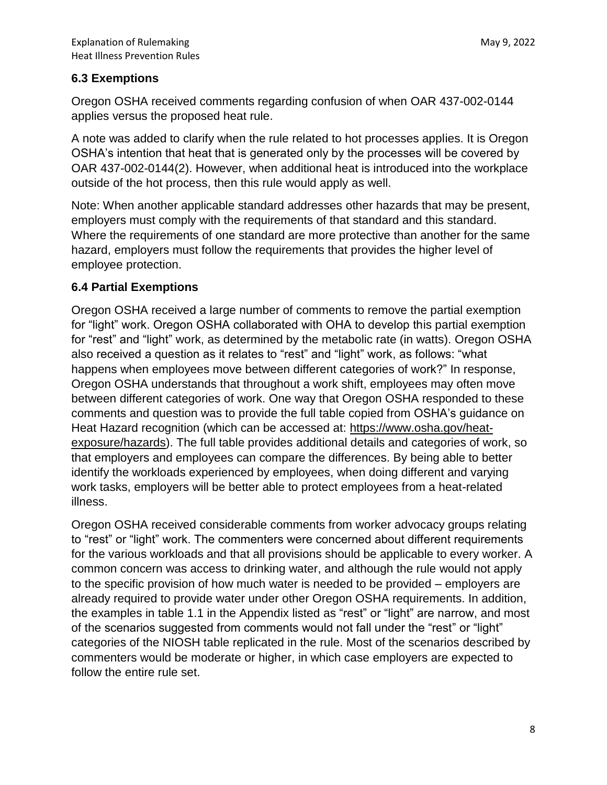### **6.3 Exemptions**

Oregon OSHA received comments regarding confusion of when OAR 437-002-0144 applies versus the proposed heat rule.

A note was added to clarify when the rule related to hot processes applies. It is Oregon OSHA's intention that heat that is generated only by the processes will be covered by OAR 437-002-0144(2). However, when additional heat is introduced into the workplace outside of the hot process, then this rule would apply as well.

Note: When another applicable standard addresses other hazards that may be present, employers must comply with the requirements of that standard and this standard. Where the requirements of one standard are more protective than another for the same hazard, employers must follow the requirements that provides the higher level of employee protection.

## **6.4 Partial Exemptions**

Oregon OSHA received a large number of comments to remove the partial exemption for "light" work. Oregon OSHA collaborated with OHA to develop this partial exemption for "rest" and "light" work, as determined by the metabolic rate (in watts). Oregon OSHA also received a question as it relates to "rest" and "light" work, as follows: "what happens when employees move between different categories of work?" In response, Oregon OSHA understands that throughout a work shift, employees may often move between different categories of work. One way that Oregon OSHA responded to these comments and question was to provide the full table copied from OSHA's guidance on Heat Hazard recognition (which can be accessed at: [https://www.osha.gov/heat](https://www.osha.gov/heat-exposure/hazards)[exposure/hazards\)](https://www.osha.gov/heat-exposure/hazards). The full table provides additional details and categories of work, so that employers and employees can compare the differences. By being able to better identify the workloads experienced by employees, when doing different and varying work tasks, employers will be better able to protect employees from a heat-related illness.

Oregon OSHA received considerable comments from worker advocacy groups relating to "rest" or "light" work. The commenters were concerned about different requirements for the various workloads and that all provisions should be applicable to every worker. A common concern was access to drinking water, and although the rule would not apply to the specific provision of how much water is needed to be provided – employers are already required to provide water under other Oregon OSHA requirements. In addition, the examples in table 1.1 in the Appendix listed as "rest" or "light" are narrow, and most of the scenarios suggested from comments would not fall under the "rest" or "light" categories of the NIOSH table replicated in the rule. Most of the scenarios described by commenters would be moderate or higher, in which case employers are expected to follow the entire rule set.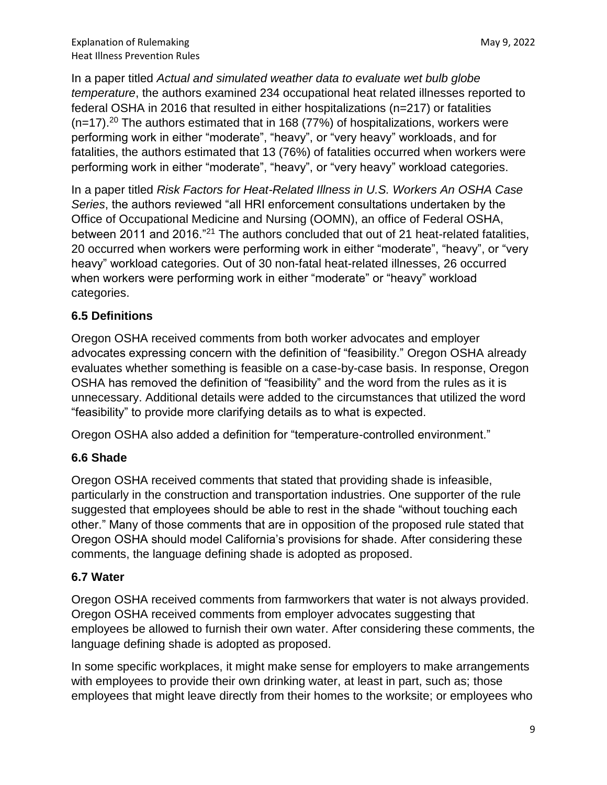In a paper titled *Actual and simulated weather data to evaluate wet bulb globe temperature*, the authors examined 234 occupational heat related illnesses reported to federal OSHA in 2016 that resulted in either hospitalizations (n=217) or fatalities  $(n=17).^{20}$  The authors estimated that in 168 (77%) of hospitalizations, workers were performing work in either "moderate", "heavy", or "very heavy" workloads, and for fatalities, the authors estimated that 13 (76%) of fatalities occurred when workers were performing work in either "moderate", "heavy", or "very heavy" workload categories.

In a paper titled *Risk Factors for Heat-Related Illness in U.S. Workers An OSHA Case Series*, the authors reviewed "all HRI enforcement consultations undertaken by the Office of Occupational Medicine and Nursing (OOMN), an office of Federal OSHA, between 2011 and 2016."<sup>21</sup> The authors concluded that out of 21 heat-related fatalities, 20 occurred when workers were performing work in either "moderate", "heavy", or "very heavy" workload categories. Out of 30 non-fatal heat-related illnesses, 26 occurred when workers were performing work in either "moderate" or "heavy" workload categories.

## **6.5 Definitions**

Oregon OSHA received comments from both worker advocates and employer advocates expressing concern with the definition of "feasibility." Oregon OSHA already evaluates whether something is feasible on a case-by-case basis. In response, Oregon OSHA has removed the definition of "feasibility" and the word from the rules as it is unnecessary. Additional details were added to the circumstances that utilized the word "feasibility" to provide more clarifying details as to what is expected.

Oregon OSHA also added a definition for "temperature-controlled environment."

## **6.6 Shade**

Oregon OSHA received comments that stated that providing shade is infeasible, particularly in the construction and transportation industries. One supporter of the rule suggested that employees should be able to rest in the shade "without touching each other." Many of those comments that are in opposition of the proposed rule stated that Oregon OSHA should model California's provisions for shade. After considering these comments, the language defining shade is adopted as proposed.

## **6.7 Water**

Oregon OSHA received comments from farmworkers that water is not always provided. Oregon OSHA received comments from employer advocates suggesting that employees be allowed to furnish their own water. After considering these comments, the language defining shade is adopted as proposed.

In some specific workplaces, it might make sense for employers to make arrangements with employees to provide their own drinking water, at least in part, such as; those employees that might leave directly from their homes to the worksite; or employees who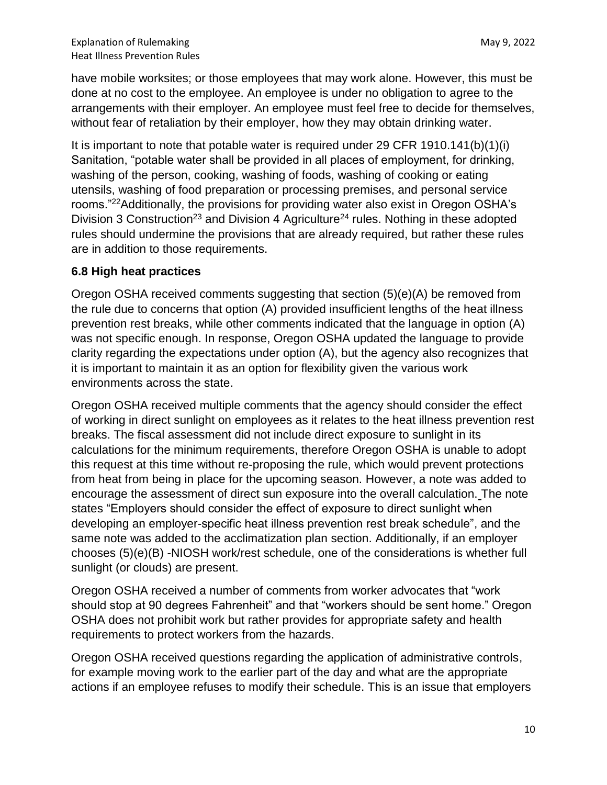have mobile worksites; or those employees that may work alone. However, this must be done at no cost to the employee. An employee is under no obligation to agree to the arrangements with their employer. An employee must feel free to decide for themselves, without fear of retaliation by their employer, how they may obtain drinking water.

It is important to note that potable water is required under 29 CFR 1910.141(b) $(1)(i)$ Sanitation, "potable water shall be provided in all places of employment, for drinking, washing of the person, cooking, washing of foods, washing of cooking or eating utensils, washing of food preparation or processing premises, and personal service rooms."<sup>22</sup>Additionally, the provisions for providing water also exist in Oregon OSHA's Division 3 Construction<sup>23</sup> and Division 4 Agriculture<sup>24</sup> rules. Nothing in these adopted rules should undermine the provisions that are already required, but rather these rules are in addition to those requirements.

#### **6.8 High heat practices**

Oregon OSHA received comments suggesting that section (5)(e)(A) be removed from the rule due to concerns that option (A) provided insufficient lengths of the heat illness prevention rest breaks, while other comments indicated that the language in option (A) was not specific enough. In response, Oregon OSHA updated the language to provide clarity regarding the expectations under option (A), but the agency also recognizes that it is important to maintain it as an option for flexibility given the various work environments across the state.

Oregon OSHA received multiple comments that the agency should consider the effect of working in direct sunlight on employees as it relates to the heat illness prevention rest breaks. The fiscal assessment did not include direct exposure to sunlight in its calculations for the minimum requirements, therefore Oregon OSHA is unable to adopt this request at this time without re-proposing the rule, which would prevent protections from heat from being in place for the upcoming season. However, a note was added to encourage the assessment of direct sun exposure into the overall calculation. The note states "Employers should consider the effect of exposure to direct sunlight when developing an employer-specific heat illness prevention rest break schedule", and the same note was added to the acclimatization plan section. Additionally, if an employer chooses (5)(e)(B) -NIOSH work/rest schedule, one of the considerations is whether full sunlight (or clouds) are present.

Oregon OSHA received a number of comments from worker advocates that "work should stop at 90 degrees Fahrenheit" and that "workers should be sent home." Oregon OSHA does not prohibit work but rather provides for appropriate safety and health requirements to protect workers from the hazards.

Oregon OSHA received questions regarding the application of administrative controls, for example moving work to the earlier part of the day and what are the appropriate actions if an employee refuses to modify their schedule. This is an issue that employers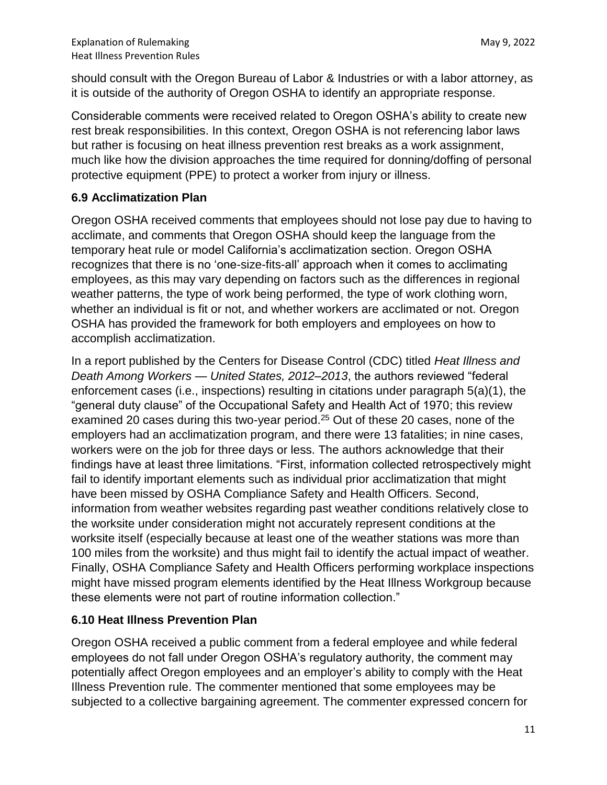should consult with the Oregon Bureau of Labor & Industries or with a labor attorney, as it is outside of the authority of Oregon OSHA to identify an appropriate response.

Considerable comments were received related to Oregon OSHA's ability to create new rest break responsibilities. In this context, Oregon OSHA is not referencing labor laws but rather is focusing on heat illness prevention rest breaks as a work assignment, much like how the division approaches the time required for donning/doffing of personal protective equipment (PPE) to protect a worker from injury or illness.

## **6.9 Acclimatization Plan**

Oregon OSHA received comments that employees should not lose pay due to having to acclimate, and comments that Oregon OSHA should keep the language from the temporary heat rule or model California's acclimatization section. Oregon OSHA recognizes that there is no 'one-size-fits-all' approach when it comes to acclimating employees, as this may vary depending on factors such as the differences in regional weather patterns, the type of work being performed, the type of work clothing worn, whether an individual is fit or not, and whether workers are acclimated or not. Oregon OSHA has provided the framework for both employers and employees on how to accomplish acclimatization.

In a report published by the Centers for Disease Control (CDC) titled *Heat Illness and Death Among Workers — United States, 2012–2013*, the authors reviewed "federal enforcement cases (i.e., inspections) resulting in citations under paragraph 5(a)(1), the "general duty clause" of the Occupational Safety and Health Act of 1970; this review examined 20 cases during this two-year period.<sup>25</sup> Out of these 20 cases, none of the employers had an acclimatization program, and there were 13 fatalities; in nine cases, workers were on the job for three days or less. The authors acknowledge that their findings have at least three limitations. "First, information collected retrospectively might fail to identify important elements such as individual prior acclimatization that might have been missed by OSHA Compliance Safety and Health Officers. Second, information from weather websites regarding past weather conditions relatively close to the worksite under consideration might not accurately represent conditions at the worksite itself (especially because at least one of the weather stations was more than 100 miles from the worksite) and thus might fail to identify the actual impact of weather. Finally, OSHA Compliance Safety and Health Officers performing workplace inspections might have missed program elements identified by the Heat Illness Workgroup because these elements were not part of routine information collection."

## **6.10 Heat Illness Prevention Plan**

Oregon OSHA received a public comment from a federal employee and while federal employees do not fall under Oregon OSHA's regulatory authority, the comment may potentially affect Oregon employees and an employer's ability to comply with the Heat Illness Prevention rule. The commenter mentioned that some employees may be subjected to a collective bargaining agreement. The commenter expressed concern for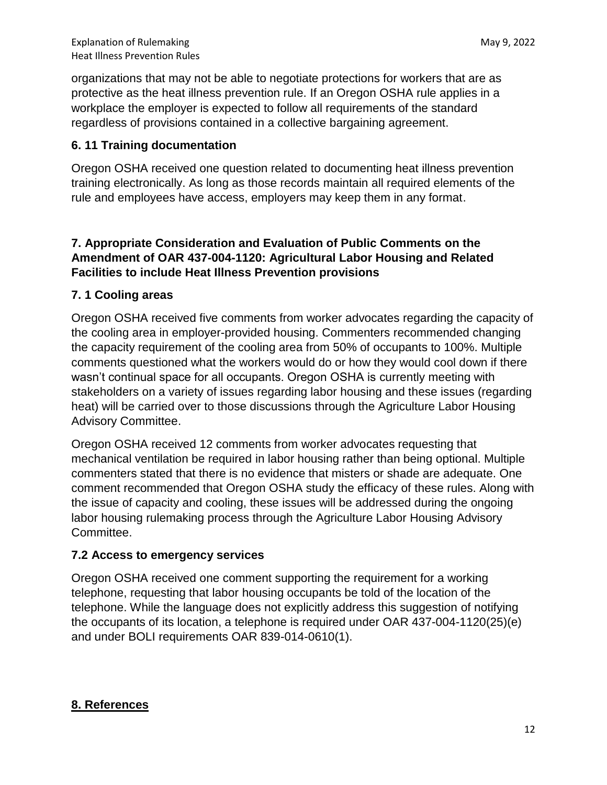organizations that may not be able to negotiate protections for workers that are as protective as the heat illness prevention rule. If an Oregon OSHA rule applies in a workplace the employer is expected to follow all requirements of the standard regardless of provisions contained in a collective bargaining agreement.

#### **6. 11 Training documentation**

Oregon OSHA received one question related to documenting heat illness prevention training electronically. As long as those records maintain all required elements of the rule and employees have access, employers may keep them in any format.

#### **7. Appropriate Consideration and Evaluation of Public Comments on the Amendment of OAR 437-004-1120: Agricultural Labor Housing and Related Facilities to include Heat Illness Prevention provisions**

#### **7. 1 Cooling areas**

Oregon OSHA received five comments from worker advocates regarding the capacity of the cooling area in employer-provided housing. Commenters recommended changing the capacity requirement of the cooling area from 50% of occupants to 100%. Multiple comments questioned what the workers would do or how they would cool down if there wasn't continual space for all occupants. Oregon OSHA is currently meeting with stakeholders on a variety of issues regarding labor housing and these issues (regarding heat) will be carried over to those discussions through the Agriculture Labor Housing Advisory Committee.

Oregon OSHA received 12 comments from worker advocates requesting that mechanical ventilation be required in labor housing rather than being optional. Multiple commenters stated that there is no evidence that misters or shade are adequate. One comment recommended that Oregon OSHA study the efficacy of these rules. Along with the issue of capacity and cooling, these issues will be addressed during the ongoing labor housing rulemaking process through the Agriculture Labor Housing Advisory Committee.

#### **7.2 Access to emergency services**

Oregon OSHA received one comment supporting the requirement for a working telephone, requesting that labor housing occupants be told of the location of the telephone. While the language does not explicitly address this suggestion of notifying the occupants of its location, a telephone is required under OAR 437-004-1120(25)(e) and under BOLI requirements OAR 839-014-0610(1).

#### **8. References**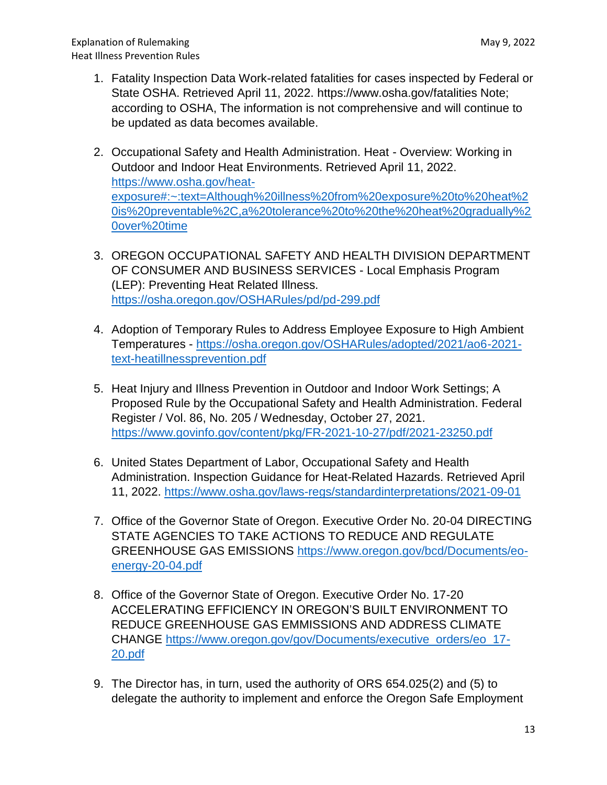- 1. Fatality Inspection Data Work-related fatalities for cases inspected by Federal or State OSHA. Retrieved April 11, 2022. https://www.osha.gov/fatalities Note; according to OSHA, The information is not comprehensive and will continue to be updated as data becomes available.
- 2. Occupational Safety and Health Administration. Heat Overview: Working in Outdoor and Indoor Heat Environments. Retrieved April 11, 2022. [https://www.osha.gov/heat](https://www.osha.gov/heat-exposure#:~:text=Although%20illness%20from%20exposure%20to%20heat%20is%20preventable%2C,a%20tolerance%20to%20the%20heat%20gradually%20over%20time)[exposure#:~:text=Although%20illness%20from%20exposure%20to%20heat%2](https://www.osha.gov/heat-exposure#:~:text=Although%20illness%20from%20exposure%20to%20heat%20is%20preventable%2C,a%20tolerance%20to%20the%20heat%20gradually%20over%20time) [0is%20preventable%2C,a%20tolerance%20to%20the%20heat%20gradually%2](https://www.osha.gov/heat-exposure#:~:text=Although%20illness%20from%20exposure%20to%20heat%20is%20preventable%2C,a%20tolerance%20to%20the%20heat%20gradually%20over%20time) [0over%20time](https://www.osha.gov/heat-exposure#:~:text=Although%20illness%20from%20exposure%20to%20heat%20is%20preventable%2C,a%20tolerance%20to%20the%20heat%20gradually%20over%20time)
- 3. OREGON OCCUPATIONAL SAFETY AND HEALTH DIVISION DEPARTMENT OF CONSUMER AND BUSINESS SERVICES - Local Emphasis Program (LEP): Preventing Heat Related Illness. <https://osha.oregon.gov/OSHARules/pd/pd-299.pdf>
- 4. Adoption of Temporary Rules to Address Employee Exposure to High Ambient Temperatures - [https://osha.oregon.gov/OSHARules/adopted/2021/ao6-2021](https://osha.oregon.gov/OSHARules/adopted/2021/ao6-2021-text-heatillnessprevention.pdf) [text-heatillnessprevention.pdf](https://osha.oregon.gov/OSHARules/adopted/2021/ao6-2021-text-heatillnessprevention.pdf)
- 5. Heat Injury and Illness Prevention in Outdoor and Indoor Work Settings; A Proposed Rule by the Occupational Safety and Health Administration. Federal Register / Vol. 86, No. 205 / Wednesday, October 27, 2021. <https://www.govinfo.gov/content/pkg/FR-2021-10-27/pdf/2021-23250.pdf>
- 6. United States Department of Labor, Occupational Safety and Health Administration. Inspection Guidance for Heat-Related Hazards. Retrieved April 11, 2022.<https://www.osha.gov/laws-regs/standardinterpretations/2021-09-01>
- 7. Office of the Governor State of Oregon. Executive Order No. 20-04 DIRECTING STATE AGENCIES TO TAKE ACTIONS TO REDUCE AND REGULATE GREENHOUSE GAS EMISSIONS [https://www.oregon.gov/bcd/Documents/eo](https://www.oregon.gov/bcd/Documents/eo-energy-20-04.pdf)[energy-20-04.pdf](https://www.oregon.gov/bcd/Documents/eo-energy-20-04.pdf)
- 8. Office of the Governor State of Oregon. Executive Order No. 17-20 ACCELERATING EFFICIENCY IN OREGON'S BUILT ENVIRONMENT TO REDUCE GREENHOUSE GAS EMMISSIONS AND ADDRESS CLIMATE CHANGE [https://www.oregon.gov/gov/Documents/executive\\_orders/eo\\_17-](https://www.oregon.gov/gov/Documents/executive_orders/eo_17-20.pdf) [20.pdf](https://www.oregon.gov/gov/Documents/executive_orders/eo_17-20.pdf)
- 9. The Director has, in turn, used the authority of ORS 654.025(2) and (5) to delegate the authority to implement and enforce the Oregon Safe Employment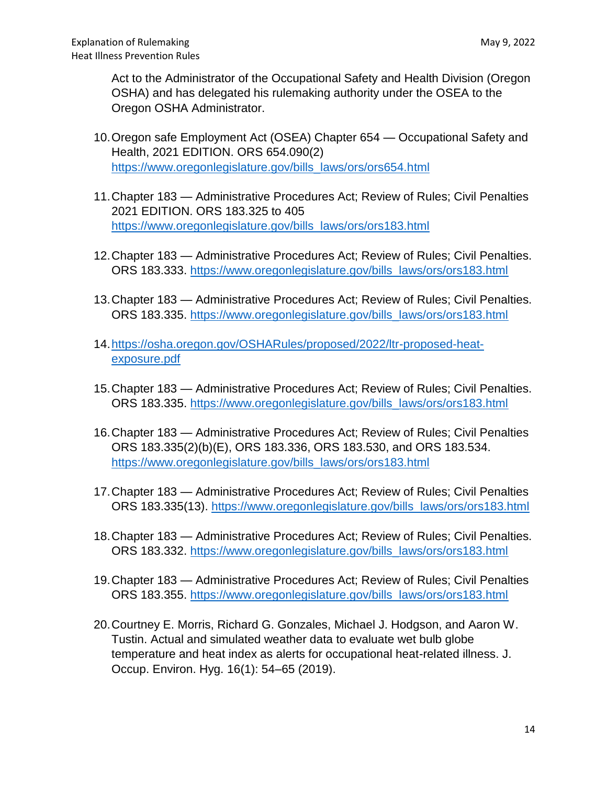Act to the Administrator of the Occupational Safety and Health Division (Oregon OSHA) and has delegated his rulemaking authority under the OSEA to the Oregon OSHA Administrator.

- 10.Oregon safe Employment Act (OSEA) Chapter 654 Occupational Safety and Health, 2021 EDITION. ORS 654.090(2) [https://www.oregonlegislature.gov/bills\\_laws/ors/ors654.html](https://www.oregonlegislature.gov/bills_laws/ors/ors654.html)
- 11.Chapter 183 Administrative Procedures Act; Review of Rules; Civil Penalties 2021 EDITION. ORS 183.325 to 405 [https://www.oregonlegislature.gov/bills\\_laws/ors/ors183.html](https://www.oregonlegislature.gov/bills_laws/ors/ors183.html)
- 12.Chapter 183 Administrative Procedures Act; Review of Rules; Civil Penalties. ORS 183.333. [https://www.oregonlegislature.gov/bills\\_laws/ors/ors183.html](https://www.oregonlegislature.gov/bills_laws/ors/ors183.html)
- 13.Chapter 183 Administrative Procedures Act; Review of Rules; Civil Penalties. ORS 183.335. [https://www.oregonlegislature.gov/bills\\_laws/ors/ors183.html](https://www.oregonlegislature.gov/bills_laws/ors/ors183.html)
- 14[.https://osha.oregon.gov/OSHARules/proposed/2022/ltr-proposed-heat](https://osha.oregon.gov/OSHARules/proposed/2022/ltr-proposed-heat-exposure.pdf)[exposure.pdf](https://osha.oregon.gov/OSHARules/proposed/2022/ltr-proposed-heat-exposure.pdf)
- 15.Chapter 183 Administrative Procedures Act; Review of Rules; Civil Penalties. ORS 183.335. [https://www.oregonlegislature.gov/bills\\_laws/ors/ors183.html](https://www.oregonlegislature.gov/bills_laws/ors/ors183.html)
- 16.Chapter 183 Administrative Procedures Act; Review of Rules; Civil Penalties ORS 183.335(2)(b)(E), ORS 183.336, ORS 183.530, and ORS 183.534. [https://www.oregonlegislature.gov/bills\\_laws/ors/ors183.html](https://www.oregonlegislature.gov/bills_laws/ors/ors183.html)
- 17.Chapter 183 Administrative Procedures Act; Review of Rules; Civil Penalties ORS 183.335(13). [https://www.oregonlegislature.gov/bills\\_laws/ors/ors183.html](https://www.oregonlegislature.gov/bills_laws/ors/ors183.html)
- 18.Chapter 183 Administrative Procedures Act; Review of Rules; Civil Penalties. ORS 183.332. [https://www.oregonlegislature.gov/bills\\_laws/ors/ors183.html](https://www.oregonlegislature.gov/bills_laws/ors/ors183.html)
- 19.Chapter 183 Administrative Procedures Act; Review of Rules; Civil Penalties ORS 183.355. [https://www.oregonlegislature.gov/bills\\_laws/ors/ors183.html](https://www.oregonlegislature.gov/bills_laws/ors/ors183.html)
- 20.Courtney E. Morris, Richard G. Gonzales, Michael J. Hodgson, and Aaron W. Tustin. Actual and simulated weather data to evaluate wet bulb globe temperature and heat index as alerts for occupational heat-related illness. J. Occup. Environ. Hyg. 16(1): 54–65 (2019).